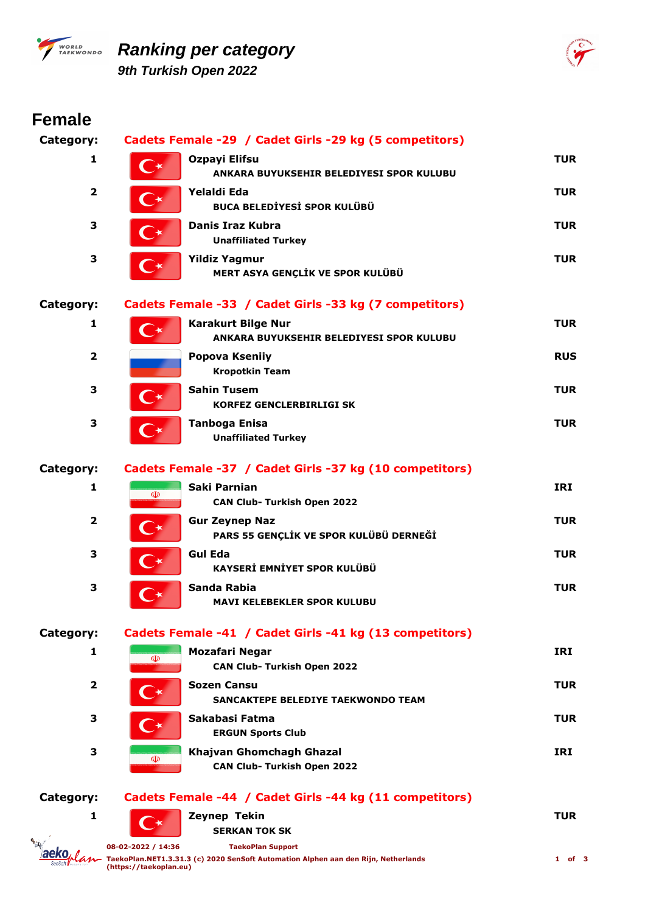

## *PWORLD* Ranking per category *9th Turkish Open 2022*



| <b>Female</b>    |                                              |                                                                                                                |            |
|------------------|----------------------------------------------|----------------------------------------------------------------------------------------------------------------|------------|
| Category:        |                                              | Cadets Female -29 / Cadet Girls -29 kg (5 competitors)                                                         |            |
| 1                | $\mathsf{C}^\star$                           | Ozpayi Elifsu<br>ANKARA BUYUKSEHIR BELEDIYESI SPOR KULUBU                                                      | <b>TUR</b> |
| $\mathbf{2}$     | $\mathsf{C}\star$                            | Yelaldi Eda<br><b>BUCA BELEDİYESİ SPOR KULÜBÜ</b>                                                              | <b>TUR</b> |
| 3                |                                              | Danis Iraz Kubra<br><b>Unaffiliated Turkey</b>                                                                 | <b>TUR</b> |
| 3                | $\curvearrowright$                           | <b>Yildiz Yagmur</b><br>MERT ASYA GENÇLİK VE SPOR KULÜBÜ                                                       | <b>TUR</b> |
| <b>Category:</b> |                                              | Cadets Female -33 / Cadet Girls -33 kg (7 competitors)                                                         |            |
| 1                | $\bigcap \star$                              | <b>Karakurt Bilge Nur</b><br>ANKARA BUYUKSEHIR BELEDIYESI SPOR KULUBU                                          | <b>TUR</b> |
| $\overline{2}$   |                                              | Popova Kseniiy<br><b>Kropotkin Team</b>                                                                        | <b>RUS</b> |
| 3                |                                              | <b>Sahin Tusem</b><br><b>KORFEZ GENCLERBIRLIGI SK</b>                                                          | <b>TUR</b> |
| 3                |                                              | <b>Tanboga Enisa</b><br><b>Unaffiliated Turkey</b>                                                             | <b>TUR</b> |
| <b>Category:</b> |                                              | Cadets Female -37 / Cadet Girls -37 kg (10 competitors)                                                        |            |
| 1                | $\Phi$                                       | Saki Parnian<br><b>CAN Club- Turkish Open 2022</b>                                                             | <b>IRI</b> |
| $\mathbf{2}$     |                                              | <b>Gur Zeynep Naz</b><br>PARS 55 GENÇLİK VE SPOR KULÜBÜ DERNEĞİ                                                | <b>TUR</b> |
| 3                | $\rightarrow$                                | <b>Gul Eda</b><br>KAYSERİ EMNİYET SPOR KULÜBÜ                                                                  | <b>TUR</b> |
| 3                |                                              | Sanda Rabia<br><b>MAVI KELEBEKLER SPOR KULUBU</b>                                                              | <b>TUR</b> |
| <b>Category:</b> |                                              | Cadets Female -41 / Cadet Girls -41 kg (13 competitors)                                                        |            |
| 1                | $\Phi$                                       | <b>Mozafari Negar</b><br><b>CAN Club- Turkish Open 2022</b>                                                    | <b>IRI</b> |
| $\overline{2}$   |                                              | <b>Sozen Cansu</b><br>SANCAKTEPE BELEDIYE TAEKWONDO TEAM                                                       | <b>TUR</b> |
| 3                |                                              | Sakabasi Fatma<br><b>ERGUN Sports Club</b>                                                                     | TUR        |
| 3                | $\mathbf{\Phi}$                              | Khajvan Ghomchagh Ghazal<br><b>CAN Club- Turkish Open 2022</b>                                                 | <b>IRI</b> |
| <b>Category:</b> |                                              | Cadets Female -44 / Cadet Girls -44 kg (11 competitors)                                                        |            |
| 1                |                                              | Zeynep Tekin<br><b>SERKAN TOK SK</b>                                                                           | <b>TUR</b> |
|                  | 08-02-2022 / 14:36<br>(https://taekoplan.eu) | <b>TaekoPlan Support</b><br>TaekoPlan.NET1.3.31.3 (c) 2020 SenSoft Automation Alphen aan den Rijn, Netherlands | $1$ of 3   |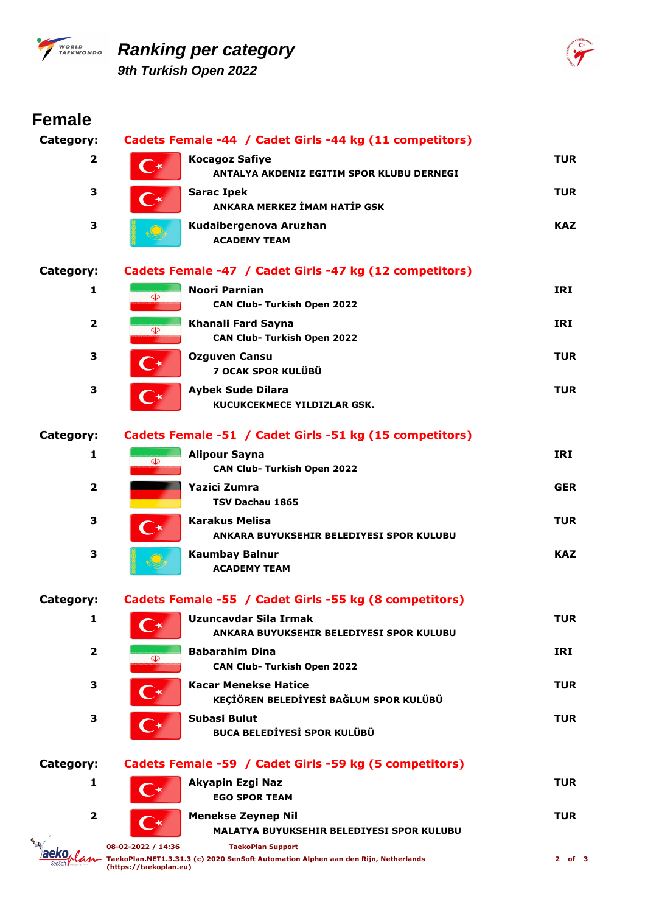

## *PARKINGRED* **Ranking per category** *9th Turkish Open 2022*



| <b>Female</b>           |                                              |                                                                                                                |            |
|-------------------------|----------------------------------------------|----------------------------------------------------------------------------------------------------------------|------------|
| Category:               |                                              | Cadets Female -44 / Cadet Girls -44 kg (11 competitors)                                                        |            |
| $\overline{\mathbf{2}}$ |                                              | <b>Kocagoz Safiye</b><br>ANTALYA AKDENIZ EGITIM SPOR KLUBU DERNEGI                                             | <b>TUR</b> |
| З                       |                                              | <b>Sarac Ipek</b><br>ANKARA MERKEZ İMAM HATİP GSK                                                              | <b>TUR</b> |
| 3                       |                                              | Kudaibergenova Aruzhan<br><b>ACADEMY TEAM</b>                                                                  | <b>KAZ</b> |
| Category:               |                                              | Cadets Female -47 / Cadet Girls -47 kg (12 competitors)                                                        |            |
| 1                       | $\Phi$                                       | Noori Parnian<br><b>CAN Club- Turkish Open 2022</b>                                                            | <b>IRI</b> |
| $\overline{\mathbf{2}}$ | $\Phi$                                       | Khanali Fard Sayna<br><b>CAN Club- Turkish Open 2022</b>                                                       | <b>IRI</b> |
| 3                       | ⋰★                                           | <b>Ozguven Cansu</b><br>7 OCAK SPOR KULÜBÜ                                                                     | <b>TUR</b> |
| 3                       | $\bigcap_{\mathbf{K}}$                       | <b>Aybek Sude Dilara</b><br>KUCUKCEKMECE YILDIZLAR GSK.                                                        | <b>TUR</b> |
| Category:               |                                              | Cadets Female -51 / Cadet Girls -51 kg (15 competitors)                                                        |            |
| 1                       | $\Phi$                                       | <b>Alipour Sayna</b><br><b>CAN Club- Turkish Open 2022</b>                                                     | <b>IRI</b> |
| $\overline{2}$          |                                              | Yazici Zumra<br>TSV Dachau 1865                                                                                | <b>GER</b> |
| 3                       | $\curvearrowright$                           | <b>Karakus Melisa</b><br>ANKARA BUYUKSEHIR BELEDIYESI SPOR KULUBU                                              | <b>TUR</b> |
| 3                       |                                              | <b>Kaumbay Balnur</b><br><b>ACADEMY TEAM</b>                                                                   | <b>KAZ</b> |
| Category:               |                                              | Cadets Female -55 / Cadet Girls -55 kg (8 competitors)                                                         |            |
| 1                       |                                              | <b>Uzuncavdar Sila Irmak</b><br>ANKARA BUYUKSEHIR BELEDIYESI SPOR KULUBU                                       | <b>TUR</b> |
| $\overline{\mathbf{2}}$ | ◍                                            | <b>Babarahim Dina</b><br><b>CAN Club- Turkish Open 2022</b>                                                    | IRI        |
| З                       |                                              | <b>Kacar Menekse Hatice</b><br>KEÇİÖREN BELEDİYESİ BAĞLUM SPOR KULÜBÜ                                          | <b>TUR</b> |
| З                       |                                              | Subasi Bulut<br><b>BUCA BELEDİYESİ SPOR KULÜBÜ</b>                                                             | <b>TUR</b> |
| Category:               |                                              | Cadets Female -59 / Cadet Girls -59 kg (5 competitors)                                                         |            |
| 1                       |                                              | Akyapin Ezgi Naz<br><b>EGO SPOR TEAM</b>                                                                       | <b>TUR</b> |
| $\overline{\mathbf{2}}$ |                                              | <b>Menekse Zeynep Nil</b><br><b>MALATYA BUYUKSEHIR BELEDIYESI SPOR KULUBU</b>                                  | <b>TUR</b> |
|                         | 08-02-2022 / 14:36<br>(https://taekoplan.eu) | <b>TaekoPlan Support</b><br>TaekoPlan.NET1.3.31.3 (c) 2020 SenSoft Automation Alphen aan den Rijn, Netherlands | $2$ of $3$ |